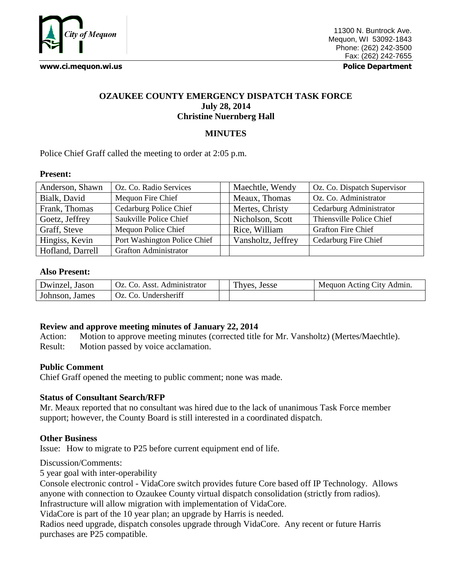

**www.ci.mequon.wi.us Police Department**

# **OZAUKEE COUNTY EMERGENCY DISPATCH TASK FORCE July 28, 2014 Christine Nuernberg Hall**

## **MINUTES**

Police Chief Graff called the meeting to order at 2:05 p.m.

#### **Present:**

| Anderson, Shawn  | Oz. Co. Radio Services       | Maechtle, Wendy    | Oz. Co. Dispatch Supervisor |
|------------------|------------------------------|--------------------|-----------------------------|
| Bialk, David     | Mequon Fire Chief            | Meaux, Thomas      | Oz. Co. Administrator       |
| Frank, Thomas    | Cedarburg Police Chief       | Mertes, Christy    | Cedarburg Administrator     |
| Goetz, Jeffrey   | Saukville Police Chief       | Nicholson, Scott   | Thiensville Police Chief    |
| Graff, Steve     | Mequon Police Chief          | Rice, William      | <b>Grafton Fire Chief</b>   |
| Hingiss, Kevin   | Port Washington Police Chief | Vansholtz, Jeffrey | Cedarburg Fire Chief        |
| Hofland, Darrell | <b>Grafton Administrator</b> |                    |                             |

#### **Also Present:**

| Dwinzel, Jason | Oz. Co. Asst. Administrator | Thyes, Jesse | Mequon Acting City Admin. |
|----------------|-----------------------------|--------------|---------------------------|
| Johnson, James | Oz. Co. Undersheriff        |              |                           |

### **Review and approve meeting minutes of January 22, 2014**

Action: Motion to approve meeting minutes (corrected title for Mr. Vansholtz) (Mertes/Maechtle). Result: Motion passed by voice acclamation.

### **Public Comment**

Chief Graff opened the meeting to public comment; none was made.

## **Status of Consultant Search/RFP**

Mr. Meaux reported that no consultant was hired due to the lack of unanimous Task Force member support; however, the County Board is still interested in a coordinated dispatch.

### **Other Business**

Issue: How to migrate to P25 before current equipment end of life.

Discussion/Comments:

5 year goal with inter-operability

Console electronic control - VidaCore switch provides future Core based off IP Technology. Allows anyone with connection to Ozaukee County virtual dispatch consolidation (strictly from radios). Infrastructure will allow migration with implementation of VidaCore.

VidaCore is part of the 10 year plan; an upgrade by Harris is needed.

Radios need upgrade, dispatch consoles upgrade through VidaCore. Any recent or future Harris purchases are P25 compatible.